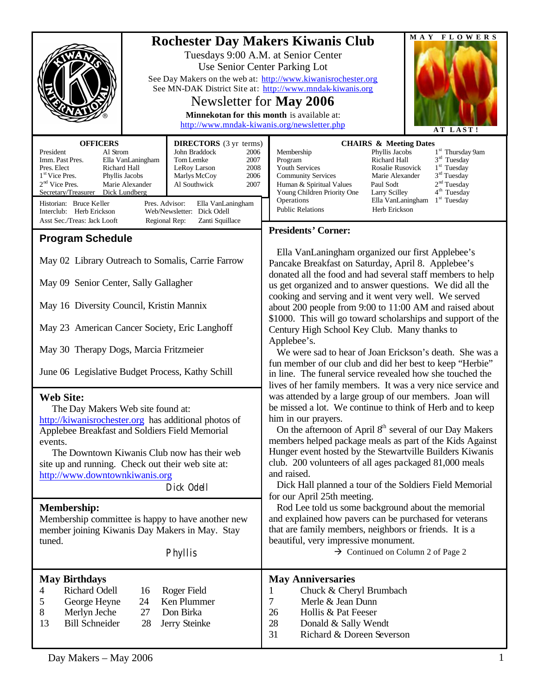| <b>OFFICERS</b><br><b>DIRECTORS</b> (3 yr terms)<br>Al Strom<br>John Braddock<br>President<br>2006<br>Imm. Past Pres.<br>Tom Lemke<br>Ella VanLaningham<br>2007<br>Pres. Elect<br>Richard Hall<br>LeRoy Larson<br>2008                                                                                                         | MAY FLOWERS<br><b>Rochester Day Makers Kiwanis Club</b><br>Tuesdays 9:00 A.M. at Senior Center<br>Use Senior Center Parking Lot<br>See Day Makers on the web at: http://www.kiwanisrochester.org<br>See MN-DAK District Site at: http://www.mndak-kiwanis.org<br>Newsletter for May 2006<br>Minnekotan for this month is available at:<br>http://www.mndak-kiwanis.org/newsletter.php<br>AT LAST!<br><b>CHAIRS &amp; Meeting Dates</b><br>1 <sup>st</sup> Thursday 9am<br>Phyllis Jacobs<br>Membership<br>$3rd$ Tuesday<br>Richard Hall<br>Program<br>$1st$ Tuesday<br>Youth Services<br>Rosalie Rusovick |
|--------------------------------------------------------------------------------------------------------------------------------------------------------------------------------------------------------------------------------------------------------------------------------------------------------------------------------|-----------------------------------------------------------------------------------------------------------------------------------------------------------------------------------------------------------------------------------------------------------------------------------------------------------------------------------------------------------------------------------------------------------------------------------------------------------------------------------------------------------------------------------------------------------------------------------------------------------|
| 1 <sup>st</sup> Vice Pres.<br>Phyllis Jacobs<br>Marlys McCoy<br>2006<br>$2nd$ Vice Pres.<br>Marie Alexander<br>Al Southwick<br>2007<br>Secretary/Treasurer<br>Dick Lundberg<br>Historian: Bruce Keller<br>Pres. Advisor:<br>Ella VanLaningham<br>Web/Newsletter: Dick Odell<br>Interclub: Herb Erickson                        | $3rd$ Tuesday<br><b>Community Services</b><br>Marie Alexander<br>2 <sup>nd</sup> Tuesday<br>Human & Spiritual Values<br>Paul Sodt<br>4 <sup>th</sup> Tuesday<br>Young Children Priority One<br>Larry Scilley<br>$1st$ Tuesday<br>Operations<br>Ella VanLaningham<br><b>Public Relations</b><br>Herb Erickson                                                                                                                                                                                                                                                                                              |
| Asst Sec./Treas: Jack Looft<br>Regional Rep:<br>Zanti Squillace<br><b>Program Schedule</b>                                                                                                                                                                                                                                     | <b>Presidents' Corner:</b>                                                                                                                                                                                                                                                                                                                                                                                                                                                                                                                                                                                |
| May 02 Library Outreach to Somalis, Carrie Farrow<br>May 09 Senior Center, Sally Gallagher                                                                                                                                                                                                                                     | Ella VanLaningham organized our first Applebee's<br>Pancake Breakfast on Saturday, April 8. Applebee's<br>donated all the food and had several staff members to help<br>us get organized and to answer questions. We did all the                                                                                                                                                                                                                                                                                                                                                                          |
| May 16 Diversity Council, Kristin Mannix                                                                                                                                                                                                                                                                                       | cooking and serving and it went very well. We served<br>about 200 people from 9:00 to 11:00 AM and raised about                                                                                                                                                                                                                                                                                                                                                                                                                                                                                           |
| May 23 American Cancer Society, Eric Langhoff                                                                                                                                                                                                                                                                                  | \$1000. This will go toward scholarships and support of the<br>Century High School Key Club. Many thanks to<br>Applebee's.                                                                                                                                                                                                                                                                                                                                                                                                                                                                                |
| May 30 Therapy Dogs, Marcia Fritzmeier                                                                                                                                                                                                                                                                                         | We were sad to hear of Joan Erickson's death. She was a<br>fun member of our club and did her best to keep "Herbie"                                                                                                                                                                                                                                                                                                                                                                                                                                                                                       |
| June 06 Legislative Budget Process, Kathy Schill                                                                                                                                                                                                                                                                               | in line. The funeral service revealed how she touched the<br>lives of her family members. It was a very nice service and                                                                                                                                                                                                                                                                                                                                                                                                                                                                                  |
| <b>Web Site:</b><br>The Day Makers Web site found at:<br>http://kiwanisrochester.org has additional photos of<br>Applebee Breakfast and Soldiers Field Memorial<br>events.<br>The Downtown Kiwanis Club now has their web<br>site up and running. Check out their web site at:<br>http://www.downtownkiwanis.org<br>Dick Odell | was attended by a large group of our members. Joan will<br>be missed a lot. We continue to think of Herb and to keep<br>him in our prayers.<br>On the afternoon of April 8 <sup>th</sup> several of our Day Makers<br>members helped package meals as part of the Kids Against<br>Hunger event hosted by the Stewartville Builders Kiwanis<br>club. 200 volunteers of all ages packaged 81,000 meals<br>and raised.<br>Dick Hall planned a tour of the Soldiers Field Memorial<br>for our April 25th meeting.                                                                                             |
| <b>Membership:</b><br>Membership committee is happy to have another new<br>member joining Kiwanis Day Makers in May. Stay<br>tuned.<br>Phyllis                                                                                                                                                                                 | Rod Lee told us some background about the memorial<br>and explained how pavers can be purchased for veterans<br>that are family members, neighbors or friends. It is a<br>beautiful, very impressive monument.<br>$\rightarrow$ Continued on Column 2 of Page 2                                                                                                                                                                                                                                                                                                                                           |
| <b>May Birthdays</b><br><b>Richard Odell</b><br>Roger Field<br>16<br>4<br>Ken Plummer<br>5<br>George Heyne<br>24<br>8<br>Merlyn Jeche<br>27<br>Don Birka<br><b>Bill Schneider</b><br>13<br>28<br>Jerry Steinke                                                                                                                 | <b>May Anniversaries</b><br>1<br>Chuck & Cheryl Brumbach<br>7<br>Merle & Jean Dunn<br>Hollis & Pat Feeser<br>26<br>28<br>Donald & Sally Wendt<br>31<br>Richard & Doreen Severson                                                                                                                                                                                                                                                                                                                                                                                                                          |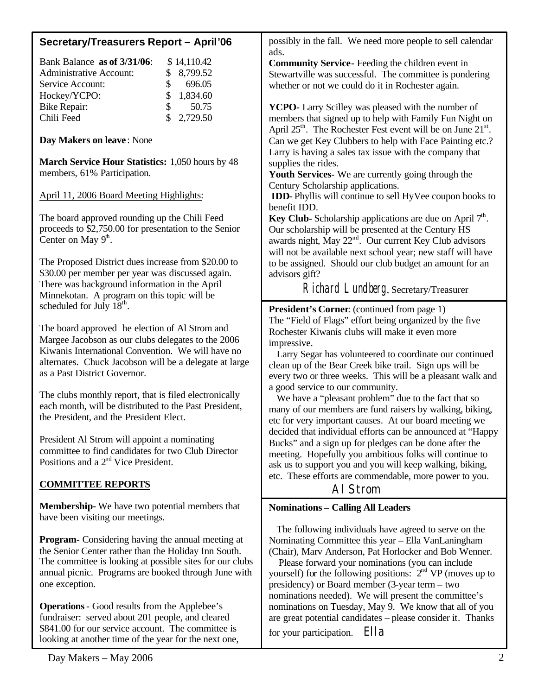| Secretary/Treasurers Report - April'06                                                                                                                                                                                                                                                       | possibly in the fall. We need more people to sell calendar<br>ads.                                                                                                                                                                                                                                                                                                                                 |
|----------------------------------------------------------------------------------------------------------------------------------------------------------------------------------------------------------------------------------------------------------------------------------------------|----------------------------------------------------------------------------------------------------------------------------------------------------------------------------------------------------------------------------------------------------------------------------------------------------------------------------------------------------------------------------------------------------|
| Bank Balance as of 3/31/06:<br>\$14,110.42<br><b>Administrative Account:</b><br>\$<br>8,799.52<br>\$<br>696.05<br>Service Account:<br>\$<br>Hockey/YCPO:<br>1,834.60<br>\$<br>50.75<br><b>Bike Repair:</b>                                                                                   | <b>Community Service-</b> Feeding the children event in<br>Stewartville was successful. The committee is pondering<br>whether or not we could do it in Rochester again.<br>YCPO- Larry Scilley was pleased with the number of                                                                                                                                                                      |
| \$<br>Chili Feed<br>2,729.50<br>Day Makers on leave: None                                                                                                                                                                                                                                    | members that signed up to help with Family Fun Night on<br>April $25th$ . The Rochester Fest event will be on June $21st$ .<br>Can we get Key Clubbers to help with Face Painting etc.?<br>Larry is having a sales tax issue with the company that                                                                                                                                                 |
| <b>March Service Hour Statistics: 1,050 hours by 48</b><br>members, 61% Participation.                                                                                                                                                                                                       | supplies the rides.<br>Youth Services- We are currently going through the<br>Century Scholarship applications.                                                                                                                                                                                                                                                                                     |
| April 11, 2006 Board Meeting Highlights:                                                                                                                                                                                                                                                     | <b>IDD-</b> Phyllis will continue to sell HyVee coupon books to<br>benefit IDD.                                                                                                                                                                                                                                                                                                                    |
| The board approved rounding up the Chili Feed<br>proceeds to \$2,750.00 for presentation to the Senior<br>Center on May $9^{\text{th}}$ .                                                                                                                                                    | <b>Key Club-</b> Scholarship applications are due on April $7th$ .<br>Our scholarship will be presented at the Century HS<br>awards night, May 22 <sup>nd</sup> . Our current Key Club advisors<br>will not be available next school year; new staff will have                                                                                                                                     |
| The Proposed District dues increase from \$20.00 to<br>\$30.00 per member per year was discussed again.<br>There was background information in the April<br>Minnekotan. A program on this topic will be                                                                                      | to be assigned. Should our club budget an amount for an<br>advisors gift?<br>Richard Lundberg, Secretary/Treasurer                                                                                                                                                                                                                                                                                 |
| scheduled for July 18 <sup>th</sup> .<br>The board approved he election of Al Strom and<br>Margee Jacobson as our clubs delegates to the 2006<br>Kiwanis International Convention. We will have no<br>alternates. Chuck Jacobson will be a delegate at large<br>as a Past District Governor. | <b>President's Corner:</b> (continued from page 1)<br>The "Field of Flags" effort being organized by the five<br>Rochester Kiwanis clubs will make it even more<br>impressive.<br>Larry Segar has volunteered to coordinate our continued<br>clean up of the Bear Creek bike trail. Sign ups will be<br>every two or three weeks. This will be a pleasant walk and                                 |
| The clubs monthly report, that is filed electronically<br>each month, will be distributed to the Past President,<br>the President, and the President Elect.                                                                                                                                  | a good service to our community.<br>We have a "pleasant problem" due to the fact that so<br>many of our members are fund raisers by walking, biking,<br>etc for very important causes. At our board meeting we                                                                                                                                                                                     |
| President Al Strom will appoint a nominating<br>committee to find candidates for two Club Director<br>Positions and a $2nd$ Vice President.                                                                                                                                                  | decided that individual efforts can be announced at "Happy<br>Bucks" and a sign up for pledges can be done after the<br>meeting. Hopefully you ambitious folks will continue to<br>ask us to support you and you will keep walking, biking,                                                                                                                                                        |
| <b>COMMITTEE REPORTS</b>                                                                                                                                                                                                                                                                     | etc. These efforts are commendable, more power to you.<br>AI Strom                                                                                                                                                                                                                                                                                                                                 |
| <b>Membership-</b> We have two potential members that<br>have been visiting our meetings.                                                                                                                                                                                                    | <b>Nominations - Calling All Leaders</b>                                                                                                                                                                                                                                                                                                                                                           |
| <b>Program-</b> Considering having the annual meeting at<br>the Senior Center rather than the Holiday Inn South.<br>The committee is looking at possible sites for our clubs<br>annual picnic. Programs are booked through June with<br>one exception.                                       | The following individuals have agreed to serve on the<br>Nominating Committee this year - Ella VanLaningham<br>(Chair), Marv Anderson, Pat Horlocker and Bob Wenner.<br>Please forward your nominations (you can include<br>yourself) for the following positions: $2nd VP$ (moves up to<br>presidency) or Board member (3-year term – two<br>nominations needed). We will present the committee's |

**Operations**- Good results from the Applebee's fundraiser: served about 201 people, and cleared \$841.00 for our service account. The committee is looking at another time of the year for the next one,

nominations on Tuesday, May 9. We know that all of you are great potential candidates – please consider it. Thanks

for your participation. Ella